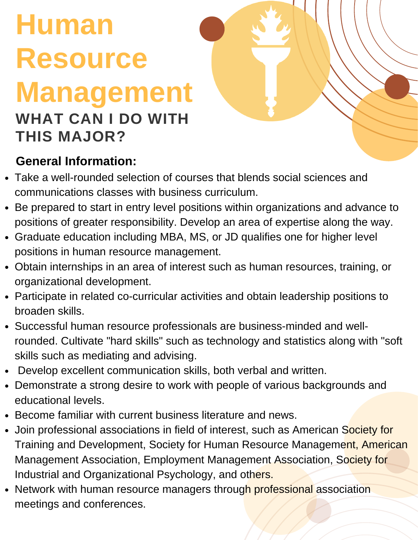# **Human Resource Management WHAT CAN I DO WITH**

# **THIS MAJOR?**

#### **General Information:**

- Take a well-rounded selection of courses that blends social sciences and communications classes with business curriculum.
- Be prepared to start in entry level positions within organizations and advance to positions of greater responsibility. Develop an area of expertise along the way.
- Graduate education including MBA, MS, or JD qualifies one for higher level positions in human resource management.
- Obtain internships in an area of interest such as human resources, training, or organizational development.
- Participate in related co-curricular activities and obtain leadership positions to broaden skills.
- Successful human resource professionals are business-minded and wellrounded. Cultivate "hard skills" such as technology and statistics along with "soft skills such as mediating and advising.
- Develop excellent communication skills, both verbal and written.
- Demonstrate a strong desire to work with people of various backgrounds and educational levels.
- Become familiar with current business literature and news.
- Join professional associations in field of interest, such as American Society for Training and Development, Society for Human Resource Management, American Management Association, Employment Management Association, Society for Industrial and Organizational Psychology, and others.
- Network with human resource managers through professional association meetings and conferences.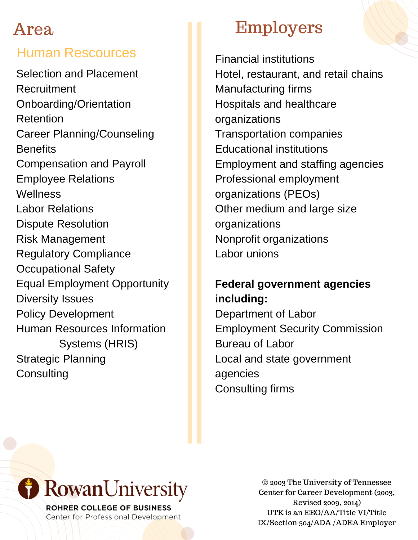#### Human Rescources

Selection and Placement Recruitment Onboarding/Orientation Retention Career Planning/Counseling **Benefits** Compensation and Payroll Employee Relations **Wellness** Labor Relations Dispute Resolution Risk Management Regulatory Compliance Occupational Safety Equal Employment Opportunity Diversity Issues Policy Development Human Resources Information Systems (HRIS) Strategic Planning **Consulting** 

### Employers

Financial institutions Hotel, restaurant, and retail chains Manufacturing firms Hospitals and healthcare organizations Transportation companies Educational institutions Employment and staffing agencies Professional employment organizations (PEOs) Other medium and large size organizations Nonprofit organizations Labor unions

#### **Federal government agencies including:**

Department of Labor Employment Security Commission Bureau of Labor Local and state government agencies Consulting firms



ROHRER COLLEGE OF BUSINESS Center for Professional Development

© 2003 The University of Tennessee Center for Career Development (2003, Revised 2009, 2014) UTK is an EEO/AA/Title VI/Title IX/Section 504/ADA /ADEA Employer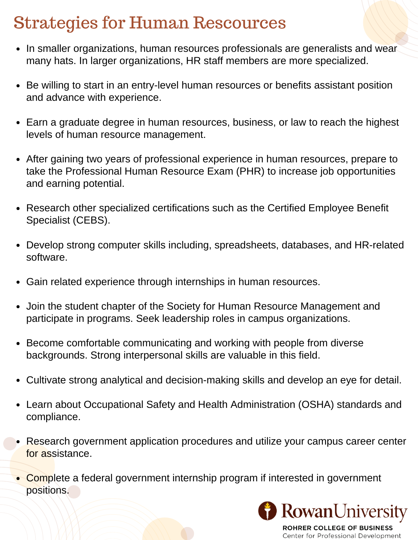## Strategies for Human Rescources

- In smaller organizations, human resources professionals are generalists and wear many hats. In larger organizations, HR staff members are more specialized.
- Be willing to start in an entry-level human resources or benefits assistant position and advance with experience.
- Earn a graduate degree in human resources, business, or law to reach the highest levels of human resource management.
- After gaining two years of professional experience in human resources, prepare to take the Professional Human Resource Exam (PHR) to increase job opportunities and earning potential.
- Research other specialized certifications such as the Certified Employee Benefit Specialist (CEBS).
- Develop strong computer skills including, spreadsheets, databases, and HR-related software.
- Gain related experience through internships in human resources.
- Join the student chapter of the Society for Human Resource Management and participate in programs. Seek leadership roles in campus organizations.
- Become comfortable communicating and working with people from diverse backgrounds. Strong interpersonal skills are valuable in this field.
- Cultivate strong analytical and decision-making skills and develop an eye for detail.
- Learn about Occupational Safety and Health Administration (OSHA) standards and compliance.
- Research government application procedures and utilize your campus career center for assistance.
- Complete a federal government internship program if interested in government positions.



**ROHRER COLLEGE OF BUSINESS** Center for Professional Development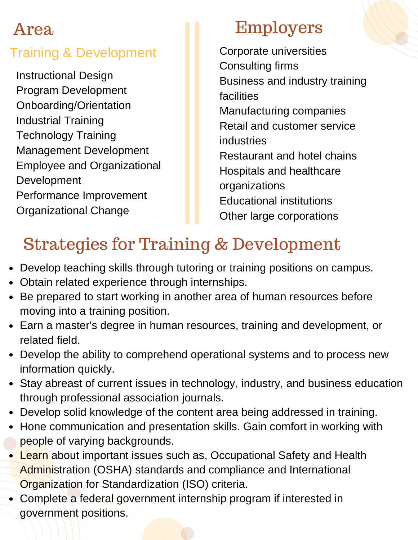#### Training & Development

Instructional Design Program Development Onboarding/Orientation Industrial Training Technology Training Management Development Employee and Organizational Development Performance Improvement Organizational Change

### Employers

Corporate universities Consulting firms Business and industry training facilities Manufacturing companies Retail and customer service industries Restaurant and hotel chains Hospitals and healthcare organizations Educational institutions Other large corporations

# Strategies for Training & Development

- Develop teaching skills through tutoring or training positions on campus.
- Obtain related experience through internships.
- Be prepared to start working in another area of human resources before moving into a training position.
- Earn a master's degree in human resources, training and development, or related field.
- Develop the ability to comprehend operational systems and to process new information quickly.
- Stay abreast of current issues in technology, industry, and business education through professional association journals.
- Develop solid knowledge of the content area being addressed in training.
- Hone communication and presentation skills. Gain comfort in working with people of varying backgrounds.
- Learn about important issues such as, Occupational Safety and Health Administration (OSHA) standards and compliance and International Organization for Standardization (ISO) criteria.
- Complete a federal government internship program if interested in government positions.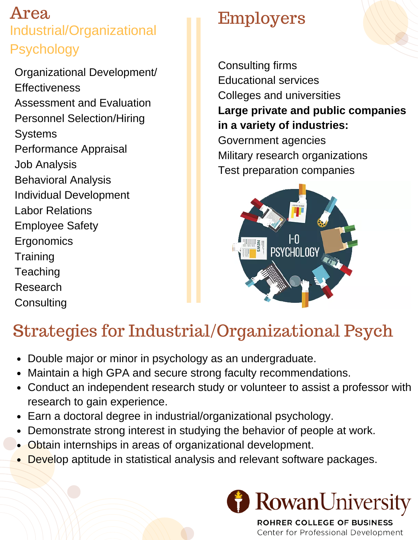#### Area Industrial/Organizational Psychology

Organizational Development/ **Effectiveness** Assessment and Evaluation Personnel Selection/Hiring **Systems** Performance Appraisal Job Analysis Behavioral Analysis Individual Development Labor Relations Employee Safety **Ergonomics Training Teaching** Research **Consulting** 

# Employers

Consulting firms Educational services Colleges and universities **Large private and public companies in a variety of industries:** Government agencies Military research organizations Test preparation companies



# Strategies for Industrial/Organizational Psych

- Double major or minor in psychology as an undergraduate.
- Maintain a high GPA and secure strong faculty recommendations.
- Conduct an independent research study or volunteer to assist a professor with research to gain experience.
- Earn a doctoral degree in industrial/organizational psychology.
- Demonstrate strong interest in studying the behavior of people at work.
- Obtain internships in areas of organizational development.
- Develop aptitude in statistical analysis and relevant software packages.



ROHRER COLLEGE OF BUSINESS Center for Professional Development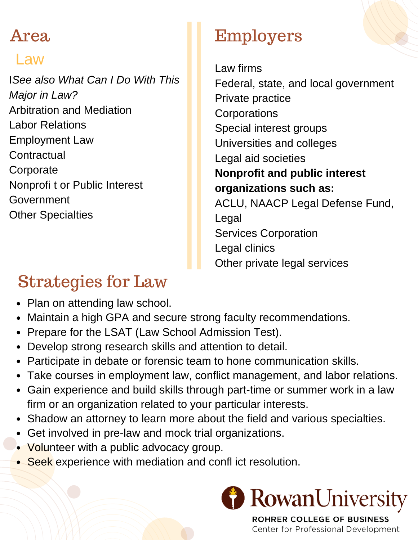#### Law

I*See also What Can I Do With This Major in Law?* Arbitration and Mediation Labor Relations Employment Law **Contractual Corporate** Nonprofi t or Public Interest Government Other Specialties

# Employers

Law firms Federal, state, and local government Private practice **Corporations** Special interest groups Universities and colleges Legal aid societies **Nonprofit and public interest organizations such as:** ACLU, NAACP Legal Defense Fund, Legal Services Corporation Legal clinics Other private legal services

# Strategies for Law

- Plan on attending law school.
- Maintain a high GPA and secure strong faculty recommendations.
- Prepare for the LSAT (Law School Admission Test).
- Develop strong research skills and attention to detail.
- Participate in debate or forensic team to hone communication skills.
- Take courses in employment law, conflict management, and labor relations.
- Gain experience and build skills through part-time or summer work in a law firm or an organization related to your particular interests.
- Shadow an attorney to learn more about the field and various specialties.
- Get involved in pre-law and mock trial organizations.
- Volunteer with a public advocacy group.
- Seek experience with mediation and confl ict resolution.



**ROHRER COLLEGE OF BUSINESS** Center for Professional Development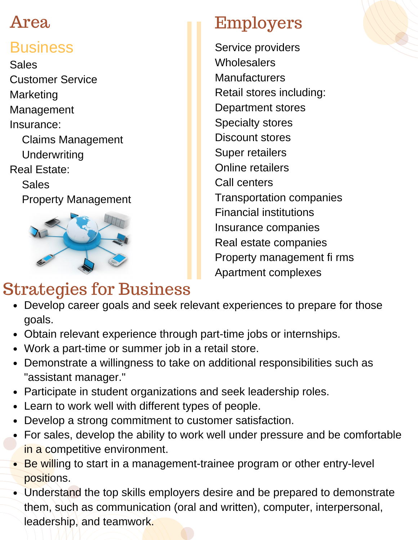#### **Business**

Sales Customer Service Marketing Management Insurance: Claims Management **Underwriting** Real Estate: Sales Property Management



## Strategies for Business

# Employers

Service providers **Wholesalers Manufacturers** Retail stores including: Department stores Specialty stores Discount stores Super retailers Online retailers Call centers Transportation companies Financial institutions Insurance companies Real estate companies Property management fi rms Apartment complexes

- Develop career goals and seek relevant experiences to prepare for those goals.
- Obtain relevant experience through part-time jobs or internships.
- Work a part-time or summer job in a retail store.
- Demonstrate a willingness to take on additional responsibilities such as "assistant manager."
- Participate in student organizations and seek leadership roles.
- Learn to work well with different types of people.
- Develop a strong commitment to customer satisfaction.
- For sales, develop the ability to work well under pressure and be comfortable in a competitive environment.
- Be willing to start in a management-trainee program or other entry-level positions.
- Understand the top skills employers desire and be prepared to demonstrate them, such as communication (oral and written), computer, interpersonal, leadership, and teamwork.